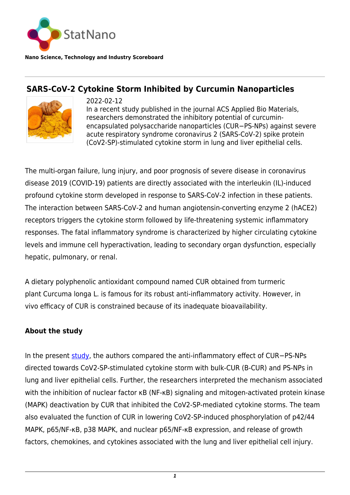

**Nano Science, Technology and Industry Scoreboard**

## **SARS-CoV-2 Cytokine Storm Inhibited by Curcumin Nanoparticles**



2022-02-12 In a recent study published in the journal ACS Applied Bio Materials, researchers demonstrated the inhibitory potential of curcuminencapsulated polysaccharide nanoparticles (CUR−PS-NPs) against severe acute respiratory syndrome coronavirus 2 (SARS-CoV-2) spike protein (CoV2-SP)-stimulated cytokine storm in lung and liver epithelial cells.

The multi-organ failure, lung injury, and poor prognosis of severe disease in coronavirus disease 2019 (COVID-19) patients are directly associated with the interleukin (IL)-induced profound cytokine storm developed in response to SARS-CoV-2 infection in these patients. The interaction between SARS-CoV-2 and human angiotensin-converting enzyme 2 (hACE2) receptors triggers the cytokine storm followed by life-threatening systemic inflammatory responses. The fatal inflammatory syndrome is characterized by higher circulating cytokine levels and immune cell hyperactivation, leading to secondary organ dysfunction, especially hepatic, pulmonary, or renal.

A dietary polyphenolic antioxidant compound named CUR obtained from turmeric plant Curcuma longa L. is famous for its robust anti-inflammatory activity. However, in vivo efficacy of CUR is constrained because of its inadequate bioavailability.

## **About the study**

In the present [study,](https://pubs.acs.org/doi/full/10.1021/acsabm.1c00874) the authors compared the anti-inflammatory effect of CUR−PS-NPs directed towards CoV2-SP-stimulated cytokine storm with bulk-CUR (B-CUR) and PS-NPs in lung and liver epithelial cells. Further, the researchers interpreted the mechanism associated with the inhibition of nuclear factor κB (NF-κB) signaling and mitogen-activated protein kinase (MAPK) deactivation by CUR that inhibited the CoV2-SP-mediated cytokine storms. The team also evaluated the function of CUR in lowering CoV2-SP-induced phosphorylation of p42/44 MAPK, p65/NF-κB, p38 MAPK, and nuclear p65/NF-κB expression, and release of growth factors, chemokines, and cytokines associated with the lung and liver epithelial cell injury.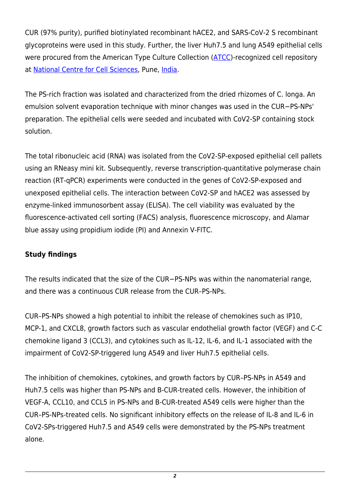CUR (97% purity), purified biotinylated recombinant hACE2, and SARS-CoV-2 S recombinant glycoproteins were used in this study. Further, the liver Huh7.5 and lung A549 epithelial cells were procured from the American Type Culture Collection [\(ATCC](https://www.atcc.org/))-recognized cell repository at [National Centre for Cell Sciences](https://www.nccs.res.in/), Pune, [India](http://statnano.com/country/India).

The PS-rich fraction was isolated and characterized from the dried rhizomes of C. longa. An emulsion solvent evaporation technique with minor changes was used in the CUR−PS-NPs' preparation. The epithelial cells were seeded and incubated with CoV2-SP containing stock solution.

The total ribonucleic acid (RNA) was isolated from the CoV2-SP-exposed epithelial cell pallets using an RNeasy mini kit. Subsequently, reverse transcription-quantitative polymerase chain reaction (RT-qPCR) experiments were conducted in the genes of CoV2-SP-exposed and unexposed epithelial cells. The interaction between CoV2-SP and hACE2 was assessed by enzyme-linked immunosorbent assay (ELISA). The cell viability was evaluated by the fluorescence-activated cell sorting (FACS) analysis, fluorescence microscopy, and Alamar blue assay using propidium iodide (PI) and Annexin V-FITC.

## **Study findings**

The results indicated that the size of the CUR−PS-NPs was within the nanomaterial range, and there was a continuous CUR release from the CUR–PS-NPs.

CUR–PS-NPs showed a high potential to inhibit the release of chemokines such as IP10, MCP-1, and CXCL8, growth factors such as vascular endothelial growth factor (VEGF) and C-C chemokine ligand 3 (CCL3), and cytokines such as IL-12, IL-6, and IL-1 associated with the impairment of CoV2-SP-triggered lung A549 and liver Huh7.5 epithelial cells.

The inhibition of chemokines, cytokines, and growth factors by CUR–PS-NPs in A549 and Huh7.5 cells was higher than PS-NPs and B-CUR-treated cells. However, the inhibition of VEGF-A, CCL10, and CCL5 in PS-NPs and B-CUR-treated A549 cells were higher than the CUR–PS-NPs-treated cells. No significant inhibitory effects on the release of IL-8 and IL-6 in CoV2-SPs-triggered Huh7.5 and A549 cells were demonstrated by the PS-NPs treatment alone.